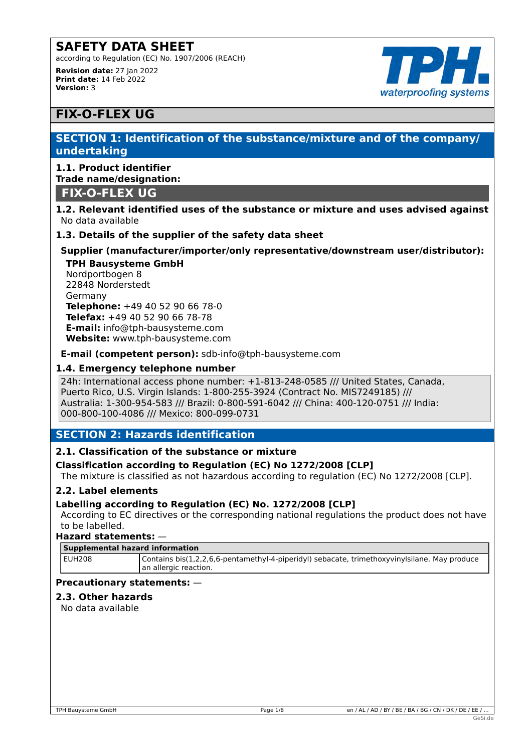according to Regulation (EC) No. 1907/2006 (REACH) **Revision date:** 27 Jan 2022 **Print date:** 14 Feb 2022 **Version:** 3



# **FIX-O-FLEX UG**

# **SECTION 1: Identification of the substance/mixture and of the company/ undertaking**

# **1.1. Product identifier Trade name/designation:**

# **FIX-O-FLEX UG**

### **1.2. Relevant identified uses of the substance or mixture and uses advised against** No data available

# **1.3. Details of the supplier of the safety data sheet**

# **Supplier (manufacturer/importer/only representative/downstream user/distributor):**

**TPH Bausysteme GmbH** Nordportbogen 8 22848 Norderstedt Germany **Telephone:** +49 40 52 90 66 78-0 **Telefax:** +49 40 52 90 66 78-78 **E-mail:** info@tph-bausysteme.com **Website:** www.tph-bausysteme.com

**E-mail (competent person):** sdb-info@tph-bausysteme.com

# **1.4. Emergency telephone number**

24h: International access phone number: +1-813-248-0585 /// United States, Canada, Puerto Rico, U.S. Virgin Islands: 1-800-255-3924 (Contract No. MIS7249185) /// Australia: 1-300-954-583 /// Brazil: 0-800-591-6042 /// China: 400-120-0751 /// India: 000-800-100-4086 /// Mexico: 800-099-0731

# **SECTION 2: Hazards identification**

# **2.1. Classification of the substance or mixture**

### **Classification according to Regulation (EC) No 1272/2008 [CLP]**

The mixture is classified as not hazardous according to regulation (EC) No 1272/2008 [CLP].

### **2.2. Label elements**

### **Labelling according to Regulation (EC) No. 1272/2008 [CLP]**

According to EC directives or the corresponding national regulations the product does not have to be labelled.

### **Hazard statements:** —

#### **Supplemental hazard information**

EUH208 Contains bis(1,2,2,6,6-pentamethyl-4-piperidyl) sebacate, trimethoxyvinylsilane. May produce an allergic reaction.

### **Precautionary statements:** —

### **2.3. Other hazards**

No data available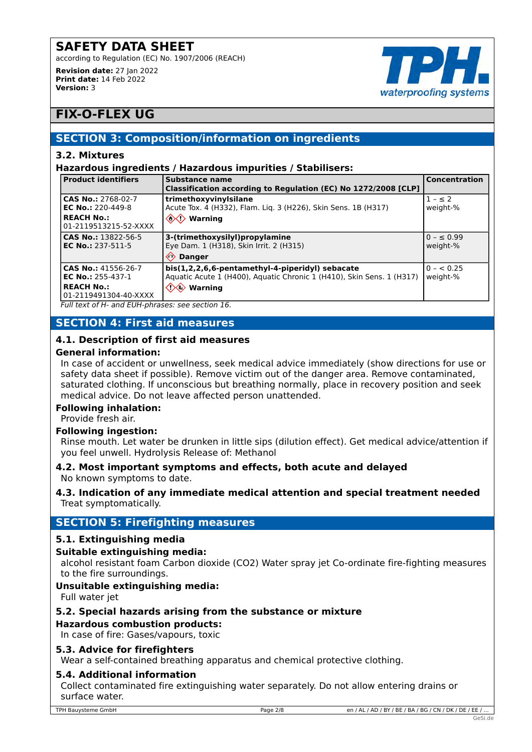according to Regulation (EC) No. 1907/2006 (REACH)



**Revision date:** 27 Jan 2022 **Print date:** 14 Feb 2022 **Version:** 3

# **FIX-O-FLEX UG**

# **SECTION 3: Composition/information on ingredients**

### **3.2. Mixtures**

### **Hazardous ingredients / Hazardous impurities / Stabilisers:**

| <b>Product identifiers</b>                                                                    | Substance name<br>Classification according to Regulation (EC) No 1272/2008 [CLP]                                                                                                                    | <b>Concentration</b>       |
|-----------------------------------------------------------------------------------------------|-----------------------------------------------------------------------------------------------------------------------------------------------------------------------------------------------------|----------------------------|
| CAS No.: 2768-02-7<br>EC No.: 220-449-8                                                       | trimethoxyvinylsilane<br>Acute Tox. 4 (H332), Flam. Liq. 3 (H226), Skin Sens. 1B (H317)                                                                                                             | $1 - \leq 2$<br>weight-%   |
| <b>REACH No.:</b><br>01-2119513215-52-XXXX                                                    | $\langle\!\!\langle\!\!\langle\mathbf{\rangle}\rangle\!\!\rangle$ Warning                                                                                                                           |                            |
| CAS No.: 13822-56-5<br><b>EC No.: 237-511-5</b>                                               | 3-(trimethoxysilyl)propylamine<br>Eye Dam. 1 (H318), Skin Irrit. 2 (H315)<br>$\langle \cdot \rangle$<br><b>Danger</b>                                                                               | $0 - \le 0.99$<br>weight-% |
| CAS No.: 41556-26-7<br><b>EC No.: 255-437-1</b><br><b>REACH No.:</b><br>01-2119491304-40-XXXX | bis(1,2,2,6,6-pentamethyl-4-piperidyl) sebacate<br>Aquatic Acute 1 (H400), Aquatic Chronic 1 (H410), Skin Sens. 1 (H317)<br>$\langle\!\!\!\langle \rangle\!\!\!\langle\rangle\!\!\!\rangle$ Warning | $0 - 0.25$<br>weight-%     |

*Full text of H- and EUH-phrases: see section 16.*

# **SECTION 4: First aid measures**

# **4.1. Description of first aid measures**

### **General information:**

In case of accident or unwellness, seek medical advice immediately (show directions for use or safety data sheet if possible). Remove victim out of the danger area. Remove contaminated, saturated clothing. If unconscious but breathing normally, place in recovery position and seek medical advice. Do not leave affected person unattended.

### **Following inhalation:**

Provide fresh air.

# **Following ingestion:**

Rinse mouth. Let water be drunken in little sips (dilution effect). Get medical advice/attention if you feel unwell. Hydrolysis Release of: Methanol

### **4.2. Most important symptoms and effects, both acute and delayed** No known symptoms to date.

### **4.3. Indication of any immediate medical attention and special treatment needed** Treat symptomatically.

# **SECTION 5: Firefighting measures**

# **5.1. Extinguishing media**

### **Suitable extinguishing media:**

alcohol resistant foam Carbon dioxide (CO2) Water spray jet Co-ordinate fire-fighting measures to the fire surroundings.

# **Unsuitable extinguishing media:**

Full water jet

# **5.2. Special hazards arising from the substance or mixture**

# **Hazardous combustion products:**

In case of fire: Gases/vapours, toxic

# **5.3. Advice for firefighters**

Wear a self-contained breathing apparatus and chemical protective clothing.

# **5.4. Additional information**

Collect contaminated fire extinguishing water separately. Do not allow entering drains or surface water.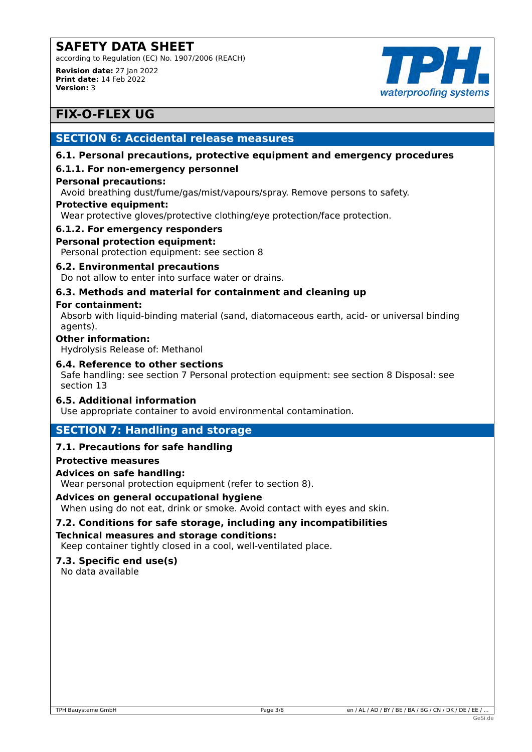according to Regulation (EC) No. 1907/2006 (REACH) **Revision date:** 27 Jan 2022 **Print date:** 14 Feb 2022



# **FIX-O-FLEX UG**

**Version:** 3

# **SECTION 6: Accidental release measures**

### **6.1. Personal precautions, protective equipment and emergency procedures**

### **6.1.1. For non-emergency personnel**

### **Personal precautions:**

Avoid breathing dust/fume/gas/mist/vapours/spray. Remove persons to safety.

### **Protective equipment:**

Wear protective gloves/protective clothing/eye protection/face protection.

### **6.1.2. For emergency responders**

### **Personal protection equipment:**

Personal protection equipment: see section 8

### **6.2. Environmental precautions**

Do not allow to enter into surface water or drains.

# **6.3. Methods and material for containment and cleaning up**

### **For containment:**

Absorb with liquid-binding material (sand, diatomaceous earth, acid- or universal binding agents).

### **Other information:**

Hydrolysis Release of: Methanol

### **6.4. Reference to other sections**

Safe handling: see section 7 Personal protection equipment: see section 8 Disposal: see section 13

### **6.5. Additional information**

Use appropriate container to avoid environmental contamination.

# **SECTION 7: Handling and storage**

# **7.1. Precautions for safe handling**

### **Protective measures**

### **Advices on safe handling:**

Wear personal protection equipment (refer to section 8).

### **Advices on general occupational hygiene**

When using do not eat, drink or smoke. Avoid contact with eyes and skin.

### **7.2. Conditions for safe storage, including any incompatibilities Technical measures and storage conditions:**

Keep container tightly closed in a cool, well-ventilated place.

#### **7.3. Specific end use(s)** No data available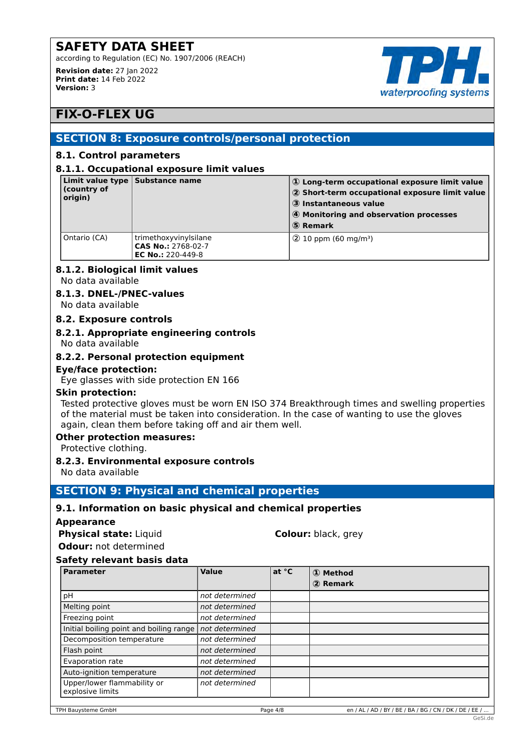according to Regulation (EC) No. 1907/2006 (REACH) **Revision date:** 27 Jan 2022



# **FIX-O-FLEX UG**

**Print date:** 14 Feb 2022

**Version:** 3

# **SECTION 8: Exposure controls/personal protection**

### **8.1. Control parameters**

#### **8.1.1. Occupational exposure limit values**

| (country of<br>origin) | Limit value type Substance name                                         | $\left  \, \mathbb{0} \right\rangle$ Long-term occupational exposure limit value<br>2 Short-term occupational exposure limit value<br>3 Instantaneous value<br>4 Monitoring and observation processes<br>  ⑤ Remark |
|------------------------|-------------------------------------------------------------------------|---------------------------------------------------------------------------------------------------------------------------------------------------------------------------------------------------------------------|
| Ontario (CA)           | trimethoxyvinylsilane<br>CAS No.: 2768-02-7<br><b>EC No.: 220-449-8</b> | $(2)$ 10 ppm (60 mg/m <sup>3</sup> )                                                                                                                                                                                |

# **8.1.2. Biological limit values**

No data available

# **8.1.3. DNEL-/PNEC-values**

No data available

### **8.2. Exposure controls**

# **8.2.1. Appropriate engineering controls**

No data available

# **8.2.2. Personal protection equipment**

### **Eye/face protection:**

Eye glasses with side protection EN 166

### **Skin protection:**

Tested protective gloves must be worn EN ISO 374 Breakthrough times and swelling properties of the material must be taken into consideration. In the case of wanting to use the gloves again, clean them before taking off and air them well.

### **Other protection measures:**

Protective clothing.

### **8.2.3. Environmental exposure controls**

No data available

# **SECTION 9: Physical and chemical properties**

### **9.1. Information on basic physical and chemical properties**

- **Appearance**
- **Physical state:** Liquid **Colour:** black, grey

# **Safety relevant basis data**

**Odour:** not determined

| <b>Parameter</b>                                | Value          | at °C | 1 Method |
|-------------------------------------------------|----------------|-------|----------|
|                                                 |                |       | 2 Remark |
| рH                                              | not determined |       |          |
| Melting point                                   | not determined |       |          |
| Freezing point                                  | not determined |       |          |
| Initial boiling point and boiling range         | not determined |       |          |
| Decomposition temperature                       | not determined |       |          |
| Flash point                                     | not determined |       |          |
| Evaporation rate                                | not determined |       |          |
| Auto-ignition temperature                       | not determined |       |          |
| Upper/lower flammability or<br>explosive limits | not determined |       |          |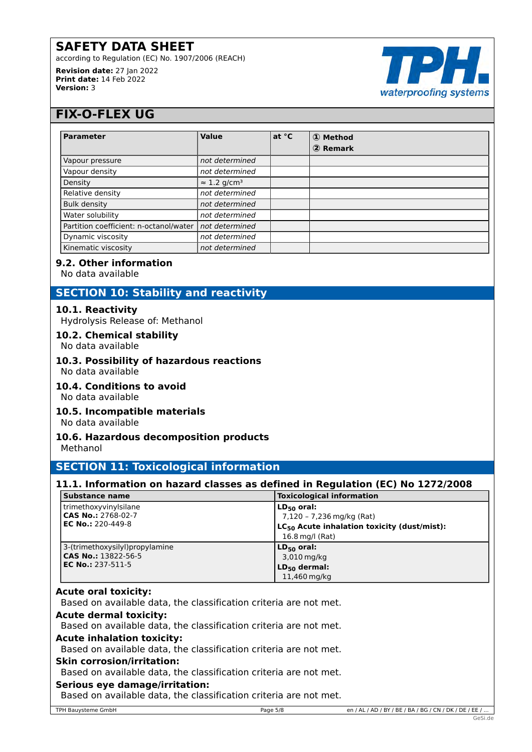according to Regulation (EC) No. 1907/2006 (REACH)

**Revision date:** 27 Jan 2022 **Print date:** 14 Feb 2022 **Version:** 3



# **FIX-O-FLEX UG**

| <b>Parameter</b>                       | <b>Value</b>                    | at °C | 1 Method |
|----------------------------------------|---------------------------------|-------|----------|
|                                        |                                 |       | 2 Remark |
| Vapour pressure                        | not determined                  |       |          |
| Vapour density                         | not determined                  |       |          |
| Density                                | $\approx$ 1.2 g/cm <sup>3</sup> |       |          |
| Relative density                       | not determined                  |       |          |
| <b>Bulk density</b>                    | not determined                  |       |          |
| Water solubility                       | not determined                  |       |          |
| Partition coefficient: n-octanol/water | not determined                  |       |          |
| Dynamic viscosity                      | not determined                  |       |          |
| Kinematic viscosity                    | not determined                  |       |          |

### **9.2. Other information**

No data available

# **SECTION 10: Stability and reactivity**

### **10.1. Reactivity**

Hydrolysis Release of: Methanol

### **10.2. Chemical stability**

No data available

# **10.3. Possibility of hazardous reactions**

No data available

# **10.4. Conditions to avoid**

No data available

# **10.5. Incompatible materials**

No data available

# **10.6. Hazardous decomposition products**

Methanol

# **SECTION 11: Toxicological information**

# **11.1. Information on hazard classes as defined in Regulation (EC) No 1272/2008**

| Substance name                  | <b>Toxicological information</b>                        |
|---------------------------------|---------------------------------------------------------|
| trimethoxyvinylsilane           | $LD_{50}$ oral:                                         |
| <b>CAS No.:</b> 2768-02-7       | 7,120 - 7,236 mg/kg (Rat)                               |
| <b>EC No.:</b> 220-449-8        | LC <sub>50</sub> Acute inhalation toxicity (dust/mist): |
|                                 | 16.8 mg/l (Rat)                                         |
| 3-(trimethoxysilyl) propylamine | $LD_{50}$ oral:                                         |
| CAS No.: 13822-56-5             | 3,010 mg/kg                                             |
| EC No.: 237-511-5               | LD <sub>50</sub> dermal:                                |
|                                 | 11,460 mg/kg                                            |

### **Acute oral toxicity:**

Based on available data, the classification criteria are not met.

### **Acute dermal toxicity:**

Based on available data, the classification criteria are not met.

### **Acute inhalation toxicity:**

Based on available data, the classification criteria are not met.

### **Skin corrosion/irritation:**

Based on available data, the classification criteria are not met.

### **Serious eye damage/irritation:**

Based on available data, the classification criteria are not met.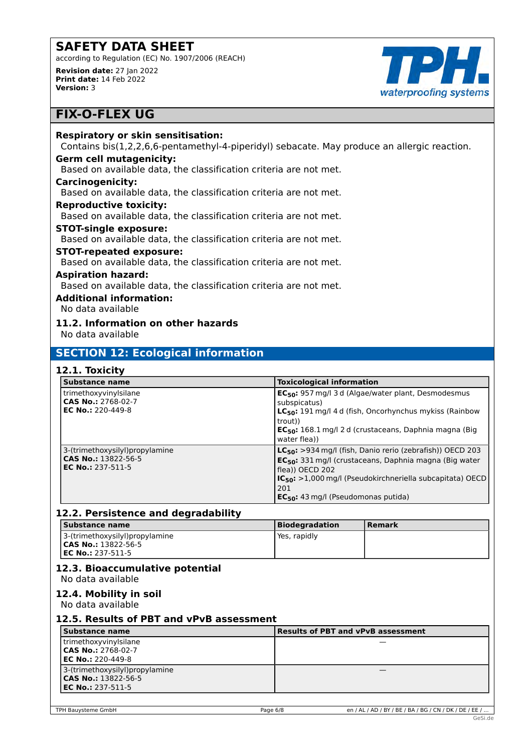according to Regulation (EC) No. 1907/2006 (REACH) **Revision date:** 27 Jan 2022 **Print date:** 14 Feb 2022

waterproofing systems

# **FIX-O-FLEX UG**

**Version:** 3

### **Respiratory or skin sensitisation:**

Contains bis(1,2,2,6,6-pentamethyl-4-piperidyl) sebacate. May produce an allergic reaction.

### **Germ cell mutagenicity:**

Based on available data, the classification criteria are not met.

### **Carcinogenicity:**

Based on available data, the classification criteria are not met.

#### **Reproductive toxicity:**

Based on available data, the classification criteria are not met.

#### **STOT-single exposure:**

Based on available data, the classification criteria are not met.

# **STOT-repeated exposure:**

Based on available data, the classification criteria are not met.

#### **Aspiration hazard:**

Based on available data, the classification criteria are not met.

# **Additional information:**

No data available

# **11.2. Information on other hazards**

No data available

# **SECTION 12: Ecological information**

# **12.1. Toxicity**

| <b>Substance name</b>                                                             | <b>Toxicological information</b>                                                                                                                                                                                                                                                    |
|-----------------------------------------------------------------------------------|-------------------------------------------------------------------------------------------------------------------------------------------------------------------------------------------------------------------------------------------------------------------------------------|
| trimethoxyvinylsilane<br>CAS No.: 2768-02-7<br><b>EC No.: 220-449-8</b>           | EC <sub>50</sub> : 957 mg/l 3 d (Algae/water plant, Desmodesmus<br>subspicatus)<br>$LC_{50}$ : 191 mg/l 4 d (fish, Oncorhynchus mykiss (Rainbow<br>trout))<br>$EC_{50}$ : 168.1 mg/l 2 d (crustaceans, Daphnia magna (Big<br>water flea))                                           |
| 3-(trimethoxysilyl)propylamine<br>CAS No.: 13822-56-5<br><b>EC No.: 237-511-5</b> | LC <sub>50</sub> : >934 mg/l (fish, Danio rerio (zebrafish)) OECD 203<br>EC <sub>50</sub> : 331 mg/l (crustaceans, Daphnia magna (Big water<br>flea)) OECD 202<br>$IC_{50}$ : >1,000 mg/l (Pseudokirchneriella subcapitata) OECD<br>201<br>$EC_{50}$ : 43 mg/l (Pseudomonas putida) |

### **12.2. Persistence and degradability**

| Substance name                                      | <b>Biodegradation</b> | l Remark |
|-----------------------------------------------------|-----------------------|----------|
| 3-(trimethoxysilyl)propylamine                      | Yes, rapidly          |          |
| $ICAS No.: 13822-56-5$<br><b>IEC No.: 237-511-5</b> |                       |          |

# **12.3. Bioaccumulative potential**

No data available

# **12.4. Mobility in soil**

No data available

### **12.5. Results of PBT and vPvB assessment**

| Substance name                                                                           | <b>Results of PBT and vPvB assessment</b> |  |
|------------------------------------------------------------------------------------------|-------------------------------------------|--|
| trimethoxyvinylsilane<br>$ CAS No.: 2768-02-7$<br>l <b>EC No.:</b> 220-449-8             |                                           |  |
| 3-(trimethoxysilyl)propylamine<br><b>CAS No.:</b> 13822-56-5<br><b>EC No.:</b> 237-511-5 |                                           |  |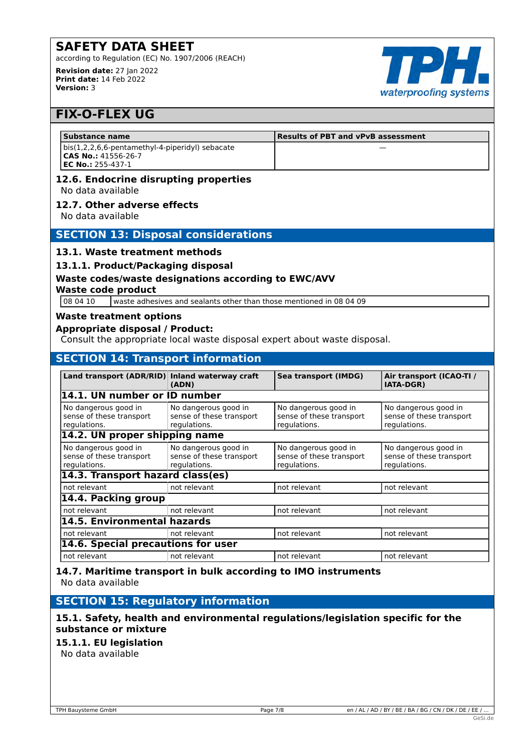according to Regulation (EC) No. 1907/2006 (REACH) **Revision date:** 27 Jan 2022 **Print date:** 14 Feb 2022



# **FIX-O-FLEX UG**

**Version:** 3

| Substance name                                          | Results of PBT and vPvB assessment |  |
|---------------------------------------------------------|------------------------------------|--|
| bis(1,2,2,6,6-pentamethyl-4-piperidyl) sebacate         |                                    |  |
| <b>CAS No.: 41556-26-7</b><br><b>IEC No.: 255-437-1</b> |                                    |  |

#### **12.6. Endocrine disrupting properties** No data available

#### **12.7. Other adverse effects**

No data available

### **SECTION 13: Disposal considerations**

### **13.1. Waste treatment methods**

**13.1.1. Product/Packaging disposal**

### **Waste codes/waste designations according to EWC/AVV**

#### **Waste code product**

08 04 10 waste adhesives and sealants other than those mentioned in 08 04 09

#### **Waste treatment options**

#### **Appropriate disposal / Product:**

Consult the appropriate local waste disposal expert about waste disposal.

# **SECTION 14: Transport information**

| Land transport (ADR/RID) Inland waterway craft                   | (ADN)                                                            | Sea transport (IMDG)                                             | Air transport (ICAO-TI /<br><b>IATA-DGR)</b>                     |  |
|------------------------------------------------------------------|------------------------------------------------------------------|------------------------------------------------------------------|------------------------------------------------------------------|--|
| 14.1. UN number or ID number                                     |                                                                  |                                                                  |                                                                  |  |
| No dangerous good in<br>sense of these transport<br>regulations. | No dangerous good in<br>sense of these transport<br>regulations. | No dangerous good in<br>sense of these transport<br>regulations. | No dangerous good in<br>sense of these transport<br>regulations. |  |
|                                                                  | 14.2. UN proper shipping name                                    |                                                                  |                                                                  |  |
| No dangerous good in<br>sense of these transport<br>regulations. | No dangerous good in<br>sense of these transport<br>regulations. | No dangerous good in<br>sense of these transport<br>regulations. | No dangerous good in<br>sense of these transport<br>regulations. |  |
| 14.3. Transport hazard class(es)                                 |                                                                  |                                                                  |                                                                  |  |
| not relevant                                                     | not relevant                                                     | not relevant                                                     | not relevant                                                     |  |
| 14.4. Packing group                                              |                                                                  |                                                                  |                                                                  |  |
| not relevant                                                     | not relevant                                                     | not relevant                                                     | not relevant                                                     |  |
| 14.5. Environmental hazards                                      |                                                                  |                                                                  |                                                                  |  |
| not relevant                                                     | not relevant                                                     | not relevant                                                     | not relevant                                                     |  |
|                                                                  | 14.6. Special precautions for user                               |                                                                  |                                                                  |  |
| not relevant                                                     | not relevant                                                     | not relevant                                                     | not relevant                                                     |  |

**14.7. Maritime transport in bulk according to IMO instruments** No data available

# **SECTION 15: Regulatory information**

# **15.1. Safety, health and environmental regulations/legislation specific for the substance or mixture**

### **15.1.1. EU legislation**

No data available